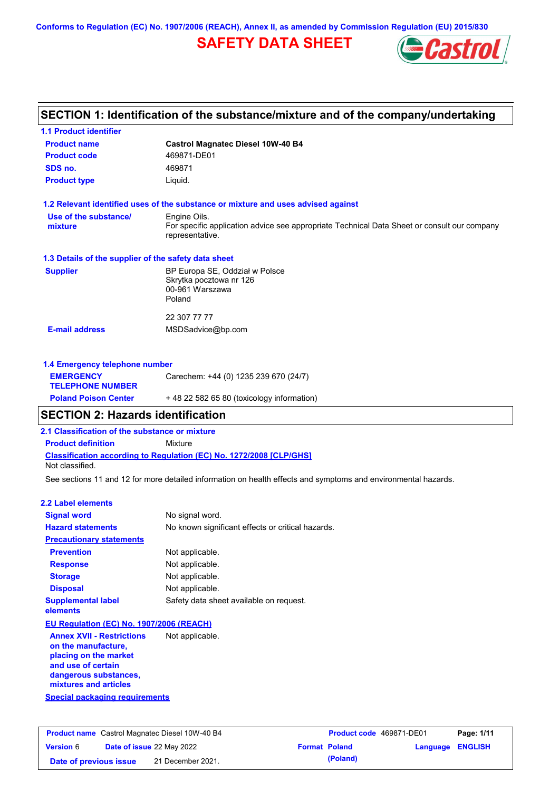# **SAFETY DATA SHEET**



### **Castrol Magnatec Diesel 10W-40 B4 Product name 1.1 Product identifier 1.3 Details of the supplier of the safety data sheet Product type Liquid. E-mail address** MSDSadvice@bp.com **1.2 Relevant identified uses of the substance or mixture and uses advised against SECTION 1: Identification of the substance/mixture and of the company/undertaking Product code 469871-DE01 1.4 Emergency telephone number EMERGENCY TELEPHONE NUMBER** Carechem: +44 (0) 1235 239 670 (24/7) **Supplier** BP Europa SE, Oddział w Polsce Skrytka pocztowa nr 126 00-961 Warszawa Poland 22 307 77 77 **SDS no.** 469871 **Use of the substance/ mixture** Engine Oils. For specific application advice see appropriate Technical Data Sheet or consult our company representative.

| <b>Poland Poison Center</b> | +48 22 582 65 80 (toxicology information) |
|-----------------------------|-------------------------------------------|
|                             |                                           |

# **SECTION 2: Hazards identification**

**2.1 Classification of the substance or mixture**

**Product definition** Mixture

**Classification according to Regulation (EC) No. 1272/2008 [CLP/GHS]** Not classified.

See sections 11 and 12 for more detailed information on health effects and symptoms and environmental hazards.

### **2.2 Label elements**

| <b>Signal word</b>                       | No signal word.                                   |  |  |  |
|------------------------------------------|---------------------------------------------------|--|--|--|
| <b>Hazard statements</b>                 | No known significant effects or critical hazards. |  |  |  |
| <b>Precautionary statements</b>          |                                                   |  |  |  |
| <b>Prevention</b>                        | Not applicable.                                   |  |  |  |
| <b>Response</b>                          | Not applicable.                                   |  |  |  |
| <b>Storage</b>                           | Not applicable.                                   |  |  |  |
| <b>Disposal</b>                          | Not applicable.                                   |  |  |  |
| <b>Supplemental label</b><br>elements    | Safety data sheet available on request.           |  |  |  |
| EU Regulation (EC) No. 1907/2006 (REACH) |                                                   |  |  |  |
|                                          |                                                   |  |  |  |

**Annex XVII - Restrictions on the manufacture, placing on the market and use of certain dangerous substances, mixtures and articles** Not applicable.

**Special packaging requirements**

| <b>Product name</b> Castrol Magnatec Diesel 10W-40 B4 |  |                                  | <b>Product code</b> 469871-DE01 |                      | Page: 1/11              |  |
|-------------------------------------------------------|--|----------------------------------|---------------------------------|----------------------|-------------------------|--|
| <b>Version 6</b>                                      |  | <b>Date of issue 22 May 2022</b> |                                 | <b>Format Poland</b> | <b>Language ENGLISH</b> |  |
| Date of previous issue                                |  | 21 December 2021.                |                                 | (Poland)             |                         |  |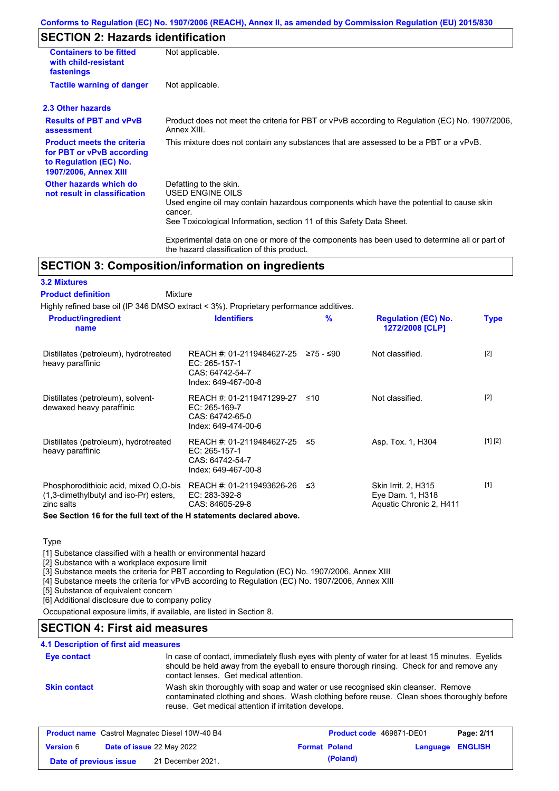# **SECTION 2: Hazards identification**

| <b>Containers to be fitted</b><br>with child-resistant<br>fastenings                                                     | Not applicable.                                                                                                                                                                                                          |
|--------------------------------------------------------------------------------------------------------------------------|--------------------------------------------------------------------------------------------------------------------------------------------------------------------------------------------------------------------------|
| <b>Tactile warning of danger</b>                                                                                         | Not applicable.                                                                                                                                                                                                          |
| 2.3 Other hazards                                                                                                        |                                                                                                                                                                                                                          |
| <b>Results of PBT and vPvB</b><br>assessment                                                                             | Product does not meet the criteria for PBT or vPvB according to Regulation (EC) No. 1907/2006,<br>Annex XIII.                                                                                                            |
| <b>Product meets the criteria</b><br>for PBT or vPvB according<br>to Regulation (EC) No.<br><b>1907/2006, Annex XIII</b> | This mixture does not contain any substances that are assessed to be a PBT or a vPvB.                                                                                                                                    |
| Other hazards which do<br>not result in classification                                                                   | Defatting to the skin.<br>USED ENGINE OILS<br>Used engine oil may contain hazardous components which have the potential to cause skin<br>cancer.<br>See Toxicological Information, section 11 of this Safety Data Sheet. |
|                                                                                                                          | Experimental data on one or more of the components has been used to determine all or part of                                                                                                                             |

## **SECTION 3: Composition/information on ingredients**

### **3.2 Mixtures**

#### Mixture **Product definition**

Highly refined base oil (IP 346 DMSO extract < 3%). Proprietary performance additives.

the hazard classification of this product.

| <b>Product/ingredient</b><br>name                                                             | <b>Identifiers</b>                                                                      | $\frac{9}{6}$ | <b>Regulation (EC) No.</b><br>1272/2008 [CLP]                      | <b>Type</b> |
|-----------------------------------------------------------------------------------------------|-----------------------------------------------------------------------------------------|---------------|--------------------------------------------------------------------|-------------|
| Distillates (petroleum), hydrotreated<br>heavy paraffinic                                     | REACH #: 01-2119484627-25<br>$EC: 265-157-1$<br>CAS: 64742-54-7<br>Index: 649-467-00-8  | ≥75 - ≤90     | Not classified.                                                    | $[2]$       |
| Distillates (petroleum), solvent-<br>dewaxed heavy paraffinic                                 | REACH #: 01-2119471299-27<br>EC: 265-169-7<br>CAS: 64742-65-0<br>Index: 649-474-00-6    | ≤10           | Not classified.                                                    | $[2]$       |
| Distillates (petroleum), hydrotreated<br>heavy paraffinic                                     | REACH #: 01-2119484627-25 ≤5<br>EC: 265-157-1<br>CAS: 64742-54-7<br>Index: 649-467-00-8 |               | Asp. Tox. 1, H304                                                  | [1] [2]     |
| Phosphorodithioic acid, mixed O.O-bis<br>(1,3-dimethylbutyl and iso-Pr) esters,<br>zinc salts | REACH #: 01-2119493626-26<br>EC: 283-392-8<br>CAS: 84605-29-8                           | -≤3           | Skin Irrit. 2, H315<br>Eye Dam. 1, H318<br>Aquatic Chronic 2, H411 | $[1]$       |

**See Section 16 for the full text of the H statements declared above.**

#### **Type**

[1] Substance classified with a health or environmental hazard

[2] Substance with a workplace exposure limit

[3] Substance meets the criteria for PBT according to Regulation (EC) No. 1907/2006, Annex XIII

[4] Substance meets the criteria for vPvB according to Regulation (EC) No. 1907/2006, Annex XIII

[5] Substance of equivalent concern

[6] Additional disclosure due to company policy

Occupational exposure limits, if available, are listed in Section 8.

## **SECTION 4: First aid measures**

### **4.1 Description of first aid measures**

| <b>Eye contact</b>  | In case of contact, immediately flush eyes with plenty of water for at least 15 minutes. Eyelids<br>should be held away from the eyeball to ensure thorough rinsing. Check for and remove any<br>contact lenses. Get medical attention. |  |
|---------------------|-----------------------------------------------------------------------------------------------------------------------------------------------------------------------------------------------------------------------------------------|--|
| <b>Skin contact</b> | Wash skin thoroughly with soap and water or use recognised skin cleanser. Remove<br>contaminated clothing and shoes. Wash clothing before reuse. Clean shoes thoroughly before<br>reuse. Get medical attention if irritation develops.  |  |

| <b>Product name</b> Castrol Magnatec Diesel 10W-40 B4 |  | Product code 469871-DE01         |  | Page: 2/11           |                         |  |
|-------------------------------------------------------|--|----------------------------------|--|----------------------|-------------------------|--|
| <b>Version 6</b>                                      |  | <b>Date of issue 22 May 2022</b> |  | <b>Format Poland</b> | <b>Language ENGLISH</b> |  |
| Date of previous issue                                |  | 21 December 2021.                |  | (Poland)             |                         |  |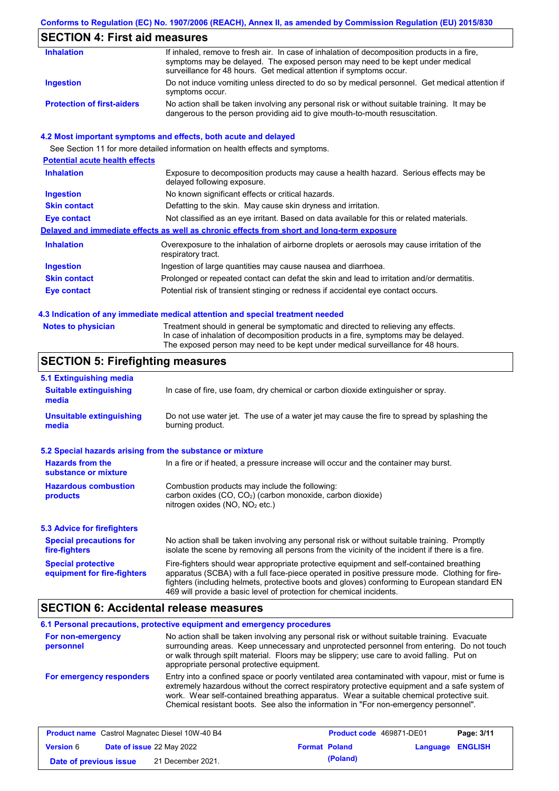## **SECTION 4: First aid measures**

| <b>Inhalation</b>                 | If inhaled, remove to fresh air. In case of inhalation of decomposition products in a fire,<br>symptoms may be delayed. The exposed person may need to be kept under medical<br>surveillance for 48 hours. Get medical attention if symptoms occur. |
|-----------------------------------|-----------------------------------------------------------------------------------------------------------------------------------------------------------------------------------------------------------------------------------------------------|
| Ingestion                         | Do not induce vomiting unless directed to do so by medical personnel. Get medical attention if<br>symptoms occur.                                                                                                                                   |
| <b>Protection of first-aiders</b> | No action shall be taken involving any personal risk or without suitable training. It may be<br>dangerous to the person providing aid to give mouth-to-mouth resuscitation.                                                                         |

### **4.2 Most important symptoms and effects, both acute and delayed**

See Section 11 for more detailed information on health effects and symptoms. **Potential acute health effects Inhalation** Exposure to decomposition products may cause a health hazard. Serious effects may be delayed following exposure. **Ingestion** No known significant effects or critical hazards. **Skin contact** Defatting to the skin. May cause skin dryness and irritation. **Eye contact** Not classified as an eye irritant. Based on data available for this or related materials. **Delayed and immediate effects as well as chronic effects from short and long-term exposure Inhalation Ingestion Skin contact Eye contact** Overexposure to the inhalation of airborne droplets or aerosols may cause irritation of the respiratory tract. Ingestion of large quantities may cause nausea and diarrhoea. Prolonged or repeated contact can defat the skin and lead to irritation and/or dermatitis. Potential risk of transient stinging or redness if accidental eye contact occurs.

#### **4.3 Indication of any immediate medical attention and special treatment needed**

Treatment should in general be symptomatic and directed to relieving any effects. In case of inhalation of decomposition products in a fire, symptoms may be delayed. The exposed person may need to be kept under medical surveillance for 48 hours.

### **SECTION 5: Firefighting measures**

| 5.1 Extinguishing media                                                                                                                                                                                                                                                                                                                                                                                                       |                                                                                     |  |
|-------------------------------------------------------------------------------------------------------------------------------------------------------------------------------------------------------------------------------------------------------------------------------------------------------------------------------------------------------------------------------------------------------------------------------|-------------------------------------------------------------------------------------|--|
| <b>Suitable extinguishing</b><br>media                                                                                                                                                                                                                                                                                                                                                                                        | In case of fire, use foam, dry chemical or carbon dioxide extinguisher or spray.    |  |
| Do not use water jet. The use of a water jet may cause the fire to spread by splashing the<br><b>Unsuitable extinguishing</b><br>burning product.<br>media                                                                                                                                                                                                                                                                    |                                                                                     |  |
| 5.2 Special hazards arising from the substance or mixture                                                                                                                                                                                                                                                                                                                                                                     |                                                                                     |  |
| <b>Hazards from the</b><br>substance or mixture                                                                                                                                                                                                                                                                                                                                                                               | In a fire or if heated, a pressure increase will occur and the container may burst. |  |
| <b>Hazardous combustion</b><br>Combustion products may include the following:<br>carbon oxides (CO, CO <sub>2</sub> ) (carbon monoxide, carbon dioxide)<br>products<br>nitrogen oxides ( $NO$ , $NO2$ etc.)                                                                                                                                                                                                                   |                                                                                     |  |
| <b>5.3 Advice for firefighters</b>                                                                                                                                                                                                                                                                                                                                                                                            |                                                                                     |  |
| No action shall be taken involving any personal risk or without suitable training. Promptly<br><b>Special precautions for</b><br>isolate the scene by removing all persons from the vicinity of the incident if there is a fire.<br>fire-fighters                                                                                                                                                                             |                                                                                     |  |
| <b>Special protective</b><br>Fire-fighters should wear appropriate protective equipment and self-contained breathing<br>apparatus (SCBA) with a full face-piece operated in positive pressure mode. Clothing for fire-<br>equipment for fire-fighters<br>fighters (including helmets, protective boots and gloves) conforming to European standard EN<br>469 will provide a basic level of protection for chemical incidents. |                                                                                     |  |

### **SECTION 6: Accidental release measures**

#### **6.1 Personal precautions, protective equipment and emergency procedures For non-emergency personnel For emergency responders** No action shall be taken involving any personal risk or without suitable training. Evacuate surrounding areas. Keep unnecessary and unprotected personnel from entering. Do not touch or walk through spilt material. Floors may be slippery; use care to avoid falling. Put on appropriate personal protective equipment. Entry into a confined space or poorly ventilated area contaminated with vapour, mist or fume is extremely hazardous without the correct respiratory protective equipment and a safe system of work. Wear self-contained breathing apparatus. Wear a suitable chemical protective suit. Chemical resistant boots. See also the information in "For non-emergency personnel".

| <b>Product name</b> Castrol Magnatec Diesel 10W-40 B4 |  |                                  | <b>Product code</b> 469871-DE01 |                      | Page: 3/11              |  |
|-------------------------------------------------------|--|----------------------------------|---------------------------------|----------------------|-------------------------|--|
| <b>Version 6</b>                                      |  | <b>Date of issue 22 May 2022</b> |                                 | <b>Format Poland</b> | <b>Language ENGLISH</b> |  |
| Date of previous issue                                |  | 21 December 2021.                |                                 | (Poland)             |                         |  |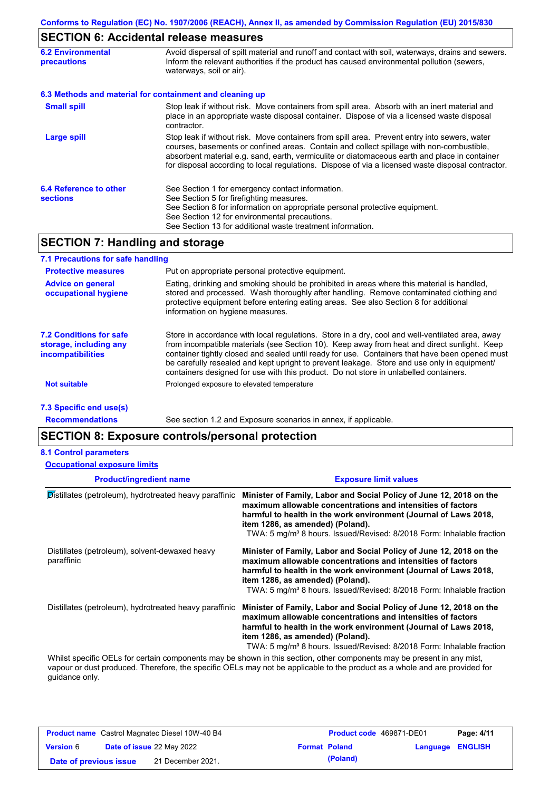# **SECTION 6: Accidental release measures**

| <b>6.2 Environmental</b><br>precautions   | Avoid dispersal of spilt material and runoff and contact with soil, waterways, drains and sewers.<br>Inform the relevant authorities if the product has caused environmental pollution (sewers,<br>waterways, soil or air).                                                                                                                                                                    |  |  |
|-------------------------------------------|------------------------------------------------------------------------------------------------------------------------------------------------------------------------------------------------------------------------------------------------------------------------------------------------------------------------------------------------------------------------------------------------|--|--|
|                                           | 6.3 Methods and material for containment and cleaning up                                                                                                                                                                                                                                                                                                                                       |  |  |
| <b>Small spill</b>                        | Stop leak if without risk. Move containers from spill area. Absorb with an inert material and<br>place in an appropriate waste disposal container. Dispose of via a licensed waste disposal<br>contractor.                                                                                                                                                                                     |  |  |
| <b>Large spill</b>                        | Stop leak if without risk. Move containers from spill area. Prevent entry into sewers, water<br>courses, basements or confined areas. Contain and collect spillage with non-combustible,<br>absorbent material e.g. sand, earth, vermiculite or diatomaceous earth and place in container<br>for disposal according to local regulations. Dispose of via a licensed waste disposal contractor. |  |  |
| 6.4 Reference to other<br><b>sections</b> | See Section 1 for emergency contact information.<br>See Section 5 for firefighting measures.<br>See Section 8 for information on appropriate personal protective equipment.<br>See Section 12 for environmental precautions.<br>See Section 13 for additional waste treatment information.                                                                                                     |  |  |

# **SECTION 7: Handling and storage**

| 7.1 Precautions for safe handling                                                    |                                                                                                                                                                                                                                                                                                                                                                                                                                                                                          |
|--------------------------------------------------------------------------------------|------------------------------------------------------------------------------------------------------------------------------------------------------------------------------------------------------------------------------------------------------------------------------------------------------------------------------------------------------------------------------------------------------------------------------------------------------------------------------------------|
| <b>Protective measures</b>                                                           | Put on appropriate personal protective equipment.                                                                                                                                                                                                                                                                                                                                                                                                                                        |
| <b>Advice on general</b><br>occupational hygiene                                     | Eating, drinking and smoking should be prohibited in areas where this material is handled,<br>stored and processed. Wash thoroughly after handling. Remove contaminated clothing and<br>protective equipment before entering eating areas. See also Section 8 for additional<br>information on hygiene measures.                                                                                                                                                                         |
| <b>7.2 Conditions for safe</b><br>storage, including any<br><b>incompatibilities</b> | Store in accordance with local regulations. Store in a dry, cool and well-ventilated area, away<br>from incompatible materials (see Section 10). Keep away from heat and direct sunlight. Keep<br>container tightly closed and sealed until ready for use. Containers that have been opened must<br>be carefully resealed and kept upright to prevent leakage. Store and use only in equipment/<br>containers designed for use with this product. Do not store in unlabelled containers. |
| <b>Not suitable</b>                                                                  | Prolonged exposure to elevated temperature                                                                                                                                                                                                                                                                                                                                                                                                                                               |
| 7.3 Specific end use(s)                                                              |                                                                                                                                                                                                                                                                                                                                                                                                                                                                                          |

**Recommendations**

See section 1.2 and Exposure scenarios in annex, if applicable.

# **SECTION 8: Exposure controls/personal protection**

#### **8.1 Control parameters**

**Occupational exposure limits**

| <b>Exposure limit values</b>                                                                                                                                                                                                                                                                                                    |  |  |
|---------------------------------------------------------------------------------------------------------------------------------------------------------------------------------------------------------------------------------------------------------------------------------------------------------------------------------|--|--|
| Minister of Family, Labor and Social Policy of June 12, 2018 on the<br>maximum allowable concentrations and intensities of factors<br>harmful to health in the work environment (Journal of Laws 2018,<br>item 1286, as amended) (Poland).<br>TWA: 5 mg/m <sup>3</sup> 8 hours. Issued/Revised: 8/2018 Form: Inhalable fraction |  |  |
| Minister of Family, Labor and Social Policy of June 12, 2018 on the<br>maximum allowable concentrations and intensities of factors<br>harmful to health in the work environment (Journal of Laws 2018,<br>item 1286, as amended) (Poland).<br>TWA: 5 mg/m <sup>3</sup> 8 hours. Issued/Revised: 8/2018 Form: Inhalable fraction |  |  |
| Minister of Family, Labor and Social Policy of June 12, 2018 on the<br>maximum allowable concentrations and intensities of factors<br>harmful to health in the work environment (Journal of Laws 2018,<br>item 1286, as amended) (Poland).<br>TWA: 5 mg/m <sup>3</sup> 8 hours. Issued/Revised: 8/2018 Form: Inhalable fraction |  |  |
| Whilet apositio OFLe for certain companents may be about in this section, other companents may be present in ony mist                                                                                                                                                                                                           |  |  |

Whilst specific OELs for certain components may be shown in this section, other components may be present in any mist, vapour or dust produced. Therefore, the specific OELs may not be applicable to the product as a whole and are provided for guidance only.

| <b>Product name</b> Castrol Magnatec Diesel 10W-40 B4 |  |                                  | <b>Product code</b> 469871-DE01 |          | Page: 4/11       |  |
|-------------------------------------------------------|--|----------------------------------|---------------------------------|----------|------------------|--|
| <b>Version</b> 6                                      |  | <b>Date of issue 22 May 2022</b> | <b>Format Poland</b>            |          | Language ENGLISH |  |
| Date of previous issue                                |  | 21 December 2021.                |                                 | (Poland) |                  |  |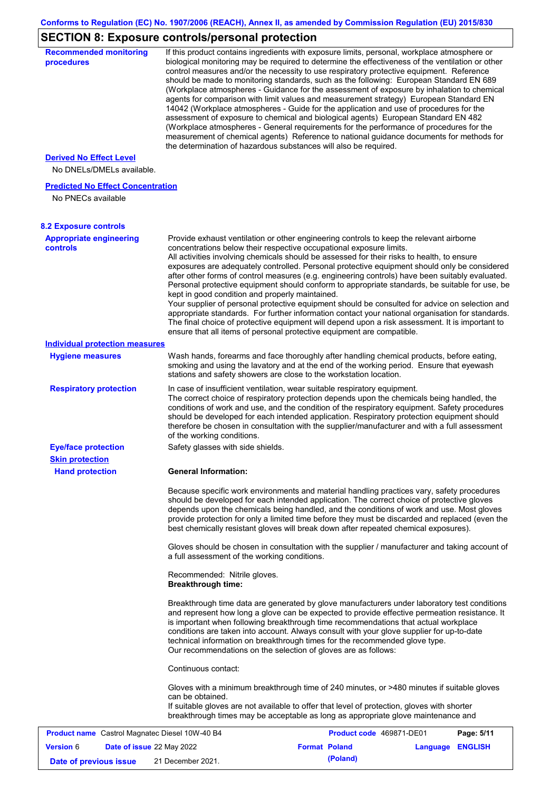# **SECTION 8: Exposure controls/personal protection**

| <b>Recommended monitoring</b><br>procedures                 |                                                           | If this product contains ingredients with exposure limits, personal, workplace atmosphere or<br>biological monitoring may be required to determine the effectiveness of the ventilation or other<br>control measures and/or the necessity to use respiratory protective equipment. Reference<br>should be made to monitoring standards, such as the following: European Standard EN 689<br>(Workplace atmospheres - Guidance for the assessment of exposure by inhalation to chemical<br>agents for comparison with limit values and measurement strategy) European Standard EN<br>14042 (Workplace atmospheres - Guide for the application and use of procedures for the<br>assessment of exposure to chemical and biological agents) European Standard EN 482<br>(Workplace atmospheres - General requirements for the performance of procedures for the<br>measurement of chemical agents) Reference to national guidance documents for methods for<br>the determination of hazardous substances will also be required. |          |                |
|-------------------------------------------------------------|-----------------------------------------------------------|----------------------------------------------------------------------------------------------------------------------------------------------------------------------------------------------------------------------------------------------------------------------------------------------------------------------------------------------------------------------------------------------------------------------------------------------------------------------------------------------------------------------------------------------------------------------------------------------------------------------------------------------------------------------------------------------------------------------------------------------------------------------------------------------------------------------------------------------------------------------------------------------------------------------------------------------------------------------------------------------------------------------------|----------|----------------|
| <b>Derived No Effect Level</b><br>No DNELs/DMELs available. |                                                           |                                                                                                                                                                                                                                                                                                                                                                                                                                                                                                                                                                                                                                                                                                                                                                                                                                                                                                                                                                                                                            |          |                |
| <b>Predicted No Effect Concentration</b>                    |                                                           |                                                                                                                                                                                                                                                                                                                                                                                                                                                                                                                                                                                                                                                                                                                                                                                                                                                                                                                                                                                                                            |          |                |
| No PNECs available                                          |                                                           |                                                                                                                                                                                                                                                                                                                                                                                                                                                                                                                                                                                                                                                                                                                                                                                                                                                                                                                                                                                                                            |          |                |
| <b>8.2 Exposure controls</b>                                |                                                           |                                                                                                                                                                                                                                                                                                                                                                                                                                                                                                                                                                                                                                                                                                                                                                                                                                                                                                                                                                                                                            |          |                |
| <b>Appropriate engineering</b><br><b>controls</b>           | kept in good condition and properly maintained.           | Provide exhaust ventilation or other engineering controls to keep the relevant airborne<br>concentrations below their respective occupational exposure limits.<br>All activities involving chemicals should be assessed for their risks to health, to ensure<br>exposures are adequately controlled. Personal protective equipment should only be considered<br>after other forms of control measures (e.g. engineering controls) have been suitably evaluated.<br>Personal protective equipment should conform to appropriate standards, be suitable for use, be<br>Your supplier of personal protective equipment should be consulted for advice on selection and<br>appropriate standards. For further information contact your national organisation for standards.<br>The final choice of protective equipment will depend upon a risk assessment. It is important to<br>ensure that all items of personal protective equipment are compatible.                                                                       |          |                |
| <b>Individual protection measures</b>                       |                                                           |                                                                                                                                                                                                                                                                                                                                                                                                                                                                                                                                                                                                                                                                                                                                                                                                                                                                                                                                                                                                                            |          |                |
| <b>Hygiene measures</b>                                     |                                                           | Wash hands, forearms and face thoroughly after handling chemical products, before eating,<br>smoking and using the lavatory and at the end of the working period. Ensure that eyewash<br>stations and safety showers are close to the workstation location.                                                                                                                                                                                                                                                                                                                                                                                                                                                                                                                                                                                                                                                                                                                                                                |          |                |
| <b>Respiratory protection</b>                               | of the working conditions.                                | In case of insufficient ventilation, wear suitable respiratory equipment.<br>The correct choice of respiratory protection depends upon the chemicals being handled, the<br>conditions of work and use, and the condition of the respiratory equipment. Safety procedures<br>should be developed for each intended application. Respiratory protection equipment should<br>therefore be chosen in consultation with the supplier/manufacturer and with a full assessment                                                                                                                                                                                                                                                                                                                                                                                                                                                                                                                                                    |          |                |
| <b>Eye/face protection</b><br><b>Skin protection</b>        | Safety glasses with side shields.                         |                                                                                                                                                                                                                                                                                                                                                                                                                                                                                                                                                                                                                                                                                                                                                                                                                                                                                                                                                                                                                            |          |                |
| <b>Hand protection</b>                                      | <b>General Information:</b>                               |                                                                                                                                                                                                                                                                                                                                                                                                                                                                                                                                                                                                                                                                                                                                                                                                                                                                                                                                                                                                                            |          |                |
|                                                             |                                                           | Because specific work environments and material handling practices vary, safety procedures<br>should be developed for each intended application. The correct choice of protective gloves<br>depends upon the chemicals being handled, and the conditions of work and use. Most gloves<br>provide protection for only a limited time before they must be discarded and replaced (even the<br>best chemically resistant gloves will break down after repeated chemical exposures).<br>Gloves should be chosen in consultation with the supplier / manufacturer and taking account of                                                                                                                                                                                                                                                                                                                                                                                                                                         |          |                |
|                                                             | a full assessment of the working conditions.              |                                                                                                                                                                                                                                                                                                                                                                                                                                                                                                                                                                                                                                                                                                                                                                                                                                                                                                                                                                                                                            |          |                |
|                                                             | Recommended: Nitrile gloves.<br><b>Breakthrough time:</b> |                                                                                                                                                                                                                                                                                                                                                                                                                                                                                                                                                                                                                                                                                                                                                                                                                                                                                                                                                                                                                            |          |                |
|                                                             |                                                           | Breakthrough time data are generated by glove manufacturers under laboratory test conditions<br>and represent how long a glove can be expected to provide effective permeation resistance. It<br>is important when following breakthrough time recommendations that actual workplace<br>conditions are taken into account. Always consult with your glove supplier for up-to-date<br>technical information on breakthrough times for the recommended glove type.<br>Our recommendations on the selection of gloves are as follows:                                                                                                                                                                                                                                                                                                                                                                                                                                                                                         |          |                |
|                                                             | Continuous contact:                                       |                                                                                                                                                                                                                                                                                                                                                                                                                                                                                                                                                                                                                                                                                                                                                                                                                                                                                                                                                                                                                            |          |                |
|                                                             | can be obtained.                                          | Gloves with a minimum breakthrough time of 240 minutes, or >480 minutes if suitable gloves<br>If suitable gloves are not available to offer that level of protection, gloves with shorter<br>breakthrough times may be acceptable as long as appropriate glove maintenance and                                                                                                                                                                                                                                                                                                                                                                                                                                                                                                                                                                                                                                                                                                                                             |          |                |
| <b>Product name</b> Castrol Magnatec Diesel 10W-40 B4       |                                                           | Product code 469871-DE01                                                                                                                                                                                                                                                                                                                                                                                                                                                                                                                                                                                                                                                                                                                                                                                                                                                                                                                                                                                                   |          | Page: 5/11     |
| <b>Version 6</b><br>Date of issue 22 May 2022               |                                                           | <b>Format Poland</b>                                                                                                                                                                                                                                                                                                                                                                                                                                                                                                                                                                                                                                                                                                                                                                                                                                                                                                                                                                                                       | Language | <b>ENGLISH</b> |
| Date of previous issue                                      | 21 December 2021.                                         | (Poland)                                                                                                                                                                                                                                                                                                                                                                                                                                                                                                                                                                                                                                                                                                                                                                                                                                                                                                                                                                                                                   |          |                |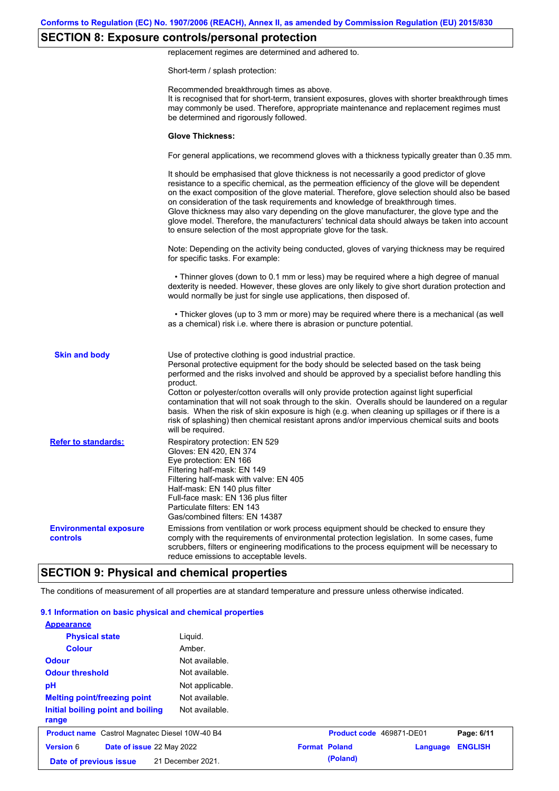# **SECTION 8: Exposure controls/personal protection**

replacement regimes are determined and adhered to.

Short-term / splash protection:

|                                           | Recommended breakthrough times as above.<br>It is recognised that for short-term, transient exposures, gloves with shorter breakthrough times<br>may commonly be used. Therefore, appropriate maintenance and replacement regimes must<br>be determined and rigorously followed.                                                                                                                                                                                                                                                                                                                                                                                                      |
|-------------------------------------------|---------------------------------------------------------------------------------------------------------------------------------------------------------------------------------------------------------------------------------------------------------------------------------------------------------------------------------------------------------------------------------------------------------------------------------------------------------------------------------------------------------------------------------------------------------------------------------------------------------------------------------------------------------------------------------------|
|                                           | <b>Glove Thickness:</b>                                                                                                                                                                                                                                                                                                                                                                                                                                                                                                                                                                                                                                                               |
|                                           | For general applications, we recommend gloves with a thickness typically greater than 0.35 mm.                                                                                                                                                                                                                                                                                                                                                                                                                                                                                                                                                                                        |
|                                           | It should be emphasised that glove thickness is not necessarily a good predictor of glove<br>resistance to a specific chemical, as the permeation efficiency of the glove will be dependent<br>on the exact composition of the glove material. Therefore, glove selection should also be based<br>on consideration of the task requirements and knowledge of breakthrough times.<br>Glove thickness may also vary depending on the glove manufacturer, the glove type and the<br>glove model. Therefore, the manufacturers' technical data should always be taken into account<br>to ensure selection of the most appropriate glove for the task.                                     |
|                                           | Note: Depending on the activity being conducted, gloves of varying thickness may be required<br>for specific tasks. For example:                                                                                                                                                                                                                                                                                                                                                                                                                                                                                                                                                      |
|                                           | • Thinner gloves (down to 0.1 mm or less) may be required where a high degree of manual<br>dexterity is needed. However, these gloves are only likely to give short duration protection and<br>would normally be just for single use applications, then disposed of.                                                                                                                                                                                                                                                                                                                                                                                                                  |
|                                           | • Thicker gloves (up to 3 mm or more) may be required where there is a mechanical (as well<br>as a chemical) risk i.e. where there is abrasion or puncture potential.                                                                                                                                                                                                                                                                                                                                                                                                                                                                                                                 |
| <b>Skin and body</b>                      | Use of protective clothing is good industrial practice.<br>Personal protective equipment for the body should be selected based on the task being<br>performed and the risks involved and should be approved by a specialist before handling this<br>product.<br>Cotton or polyester/cotton overalls will only provide protection against light superficial<br>contamination that will not soak through to the skin. Overalls should be laundered on a regular<br>basis. When the risk of skin exposure is high (e.g. when cleaning up spillages or if there is a<br>risk of splashing) then chemical resistant aprons and/or impervious chemical suits and boots<br>will be required. |
| <b>Refer to standards:</b>                | Respiratory protection: EN 529<br>Gloves: EN 420, EN 374<br>Eye protection: EN 166<br>Filtering half-mask: EN 149<br>Filtering half-mask with valve: EN 405<br>Half-mask: EN 140 plus filter<br>Full-face mask: EN 136 plus filter<br>Particulate filters: EN 143<br>Gas/combined filters: EN 14387                                                                                                                                                                                                                                                                                                                                                                                   |
| <b>Environmental exposure</b><br>controls | Emissions from ventilation or work process equipment should be checked to ensure they<br>comply with the requirements of environmental protection legislation. In some cases, fume<br>scrubbers, filters or engineering modifications to the process equipment will be necessary to<br>reduce emissions to acceptable levels.                                                                                                                                                                                                                                                                                                                                                         |
|                                           | <b>SECTION 9: Physical and chemical properties</b>                                                                                                                                                                                                                                                                                                                                                                                                                                                                                                                                                                                                                                    |

### The conditions of measurement of all properties are at standard temperature and pressure unless otherwise indicated.

| 9.1 Information on basic physical and chemical properties |                   |                      |                          |          |                |
|-----------------------------------------------------------|-------------------|----------------------|--------------------------|----------|----------------|
| <b>Appearance</b>                                         |                   |                      |                          |          |                |
| <b>Physical state</b>                                     | Liquid.           |                      |                          |          |                |
| <b>Colour</b>                                             | Amber.            |                      |                          |          |                |
| <b>Odour</b>                                              | Not available.    |                      |                          |          |                |
| <b>Odour threshold</b>                                    | Not available.    |                      |                          |          |                |
| pH                                                        | Not applicable.   |                      |                          |          |                |
| <b>Melting point/freezing point</b>                       | Not available.    |                      |                          |          |                |
| Initial boiling point and boiling<br>range                | Not available.    |                      |                          |          |                |
| <b>Product name</b> Castrol Magnatec Diesel 10W-40 B4     |                   |                      | Product code 469871-DE01 |          | Page: 6/11     |
| <b>Version 6</b><br>Date of issue 22 May 2022             |                   | <b>Format Poland</b> |                          | Language | <b>ENGLISH</b> |
| Date of previous issue                                    | 21 December 2021. |                      | (Poland)                 |          |                |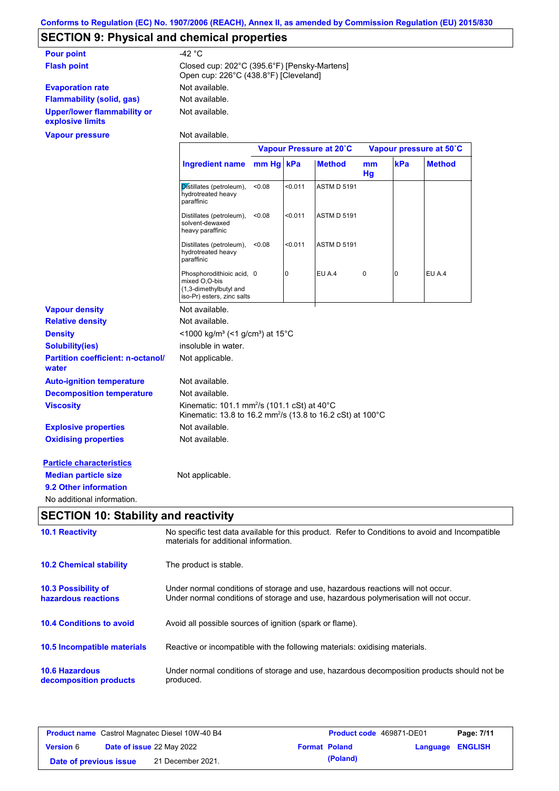# **SECTION 9: Physical and chemical properties**

| <b>Pour point</b>                               | -42 °C                                                                                |
|-------------------------------------------------|---------------------------------------------------------------------------------------|
| <b>Flash point</b>                              | Closed cup: 202°C (395.6°F) [Pensky-Martens]<br>Open cup: 226°C (438.8°F) [Cleveland] |
| <b>Evaporation rate</b>                         | Not available.                                                                        |
| <b>Flammability (solid, gas)</b>                | Not available.                                                                        |
| Upper/lower flammability or<br>explosive limits | Not available.                                                                        |
| <b>Vapour pressure</b>                          | Not available.                                                                        |

|                                                   |                                                                                                                                              |        |         | Vapour Pressure at 20°C |             |                | Vapour pressure at 50°C |
|---------------------------------------------------|----------------------------------------------------------------------------------------------------------------------------------------------|--------|---------|-------------------------|-------------|----------------|-------------------------|
|                                                   | Ingredient name mm Hg                                                                                                                        |        | kPa     | <b>Method</b>           | mm<br>Hg    | kPa            | <b>Method</b>           |
|                                                   | Distillates (petroleum),<br>hydrotreated heavy<br>paraffinic                                                                                 | < 0.08 | < 0.011 | <b>ASTM D 5191</b>      |             |                |                         |
|                                                   | Distillates (petroleum),<br>solvent-dewaxed<br>heavy paraffinic                                                                              | < 0.08 | < 0.011 | <b>ASTM D 5191</b>      |             |                |                         |
|                                                   | Distillates (petroleum),<br>hydrotreated heavy<br>paraffinic                                                                                 | < 0.08 | < 0.011 | <b>ASTM D 5191</b>      |             |                |                         |
|                                                   | Phosphorodithioic acid, 0<br>mixed O,O-bis<br>(1,3-dimethylbutyl and<br>iso-Pr) esters, zinc salts                                           |        | 0       | EU A.4                  | $\mathbf 0$ | $\overline{0}$ | EU A.4                  |
| <b>Vapour density</b>                             | Not available.                                                                                                                               |        |         |                         |             |                |                         |
| <b>Relative density</b>                           | Not available.                                                                                                                               |        |         |                         |             |                |                         |
| <b>Density</b>                                    | <1000 kg/m <sup>3</sup> (<1 g/cm <sup>3</sup> ) at 15 <sup>°</sup> C                                                                         |        |         |                         |             |                |                         |
| <b>Solubility(ies)</b>                            | insoluble in water.                                                                                                                          |        |         |                         |             |                |                         |
| <b>Partition coefficient: n-octanol/</b><br>water | Not applicable.                                                                                                                              |        |         |                         |             |                |                         |
| <b>Auto-ignition temperature</b>                  | Not available.                                                                                                                               |        |         |                         |             |                |                         |
| <b>Decomposition temperature</b>                  | Not available.                                                                                                                               |        |         |                         |             |                |                         |
| <b>Viscosity</b>                                  | Kinematic: 101.1 mm <sup>2</sup> /s (101.1 cSt) at 40 $^{\circ}$ C<br>Kinematic: 13.8 to 16.2 mm <sup>2</sup> /s (13.8 to 16.2 cSt) at 100°C |        |         |                         |             |                |                         |
| <b>Explosive properties</b>                       | Not available.                                                                                                                               |        |         |                         |             |                |                         |
| <b>Oxidising properties</b>                       | Not available.                                                                                                                               |        |         |                         |             |                |                         |
| <b>Particle characteristics</b>                   |                                                                                                                                              |        |         |                         |             |                |                         |
| <b>Median particle size</b>                       | Not applicable.                                                                                                                              |        |         |                         |             |                |                         |
| 9.2 Other information                             |                                                                                                                                              |        |         |                         |             |                |                         |
| No additional information.                        |                                                                                                                                              |        |         |                         |             |                |                         |

# **SECTION 10: Stability and reactivity**

| <b>10.1 Reactivity</b>                            | No specific test data available for this product. Refer to Conditions to avoid and Incompatible<br>materials for additional information.                                |
|---------------------------------------------------|-------------------------------------------------------------------------------------------------------------------------------------------------------------------------|
| <b>10.2 Chemical stability</b>                    | The product is stable.                                                                                                                                                  |
| <b>10.3 Possibility of</b><br>hazardous reactions | Under normal conditions of storage and use, hazardous reactions will not occur.<br>Under normal conditions of storage and use, hazardous polymerisation will not occur. |
| <b>10.4 Conditions to avoid</b>                   | Avoid all possible sources of ignition (spark or flame).                                                                                                                |
| 10.5 Incompatible materials                       | Reactive or incompatible with the following materials: oxidising materials.                                                                                             |
| <b>10.6 Hazardous</b><br>decomposition products   | Under normal conditions of storage and use, hazardous decomposition products should not be<br>produced.                                                                 |

| <b>Product name</b> Castrol Magnatec Diesel 10W-40 B4 |  |                                  | Product code 469871-DE01 | Page: 7/11           |                  |  |
|-------------------------------------------------------|--|----------------------------------|--------------------------|----------------------|------------------|--|
| <b>Version 6</b>                                      |  | <b>Date of issue 22 May 2022</b> |                          | <b>Format Poland</b> | Language ENGLISH |  |
| Date of previous issue                                |  | 21 December 2021.                |                          | (Poland)             |                  |  |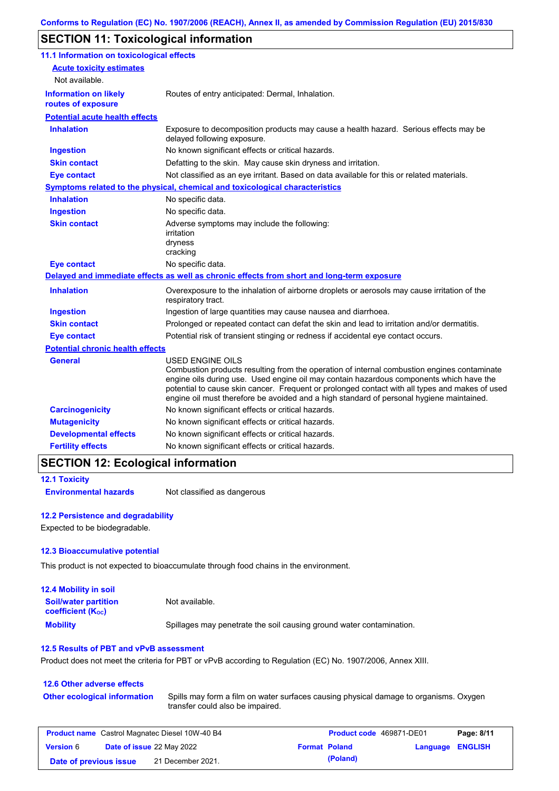# **SECTION 11: Toxicological information**

| 11.1 Information on toxicological effects          |                                                                                                                                                                                                                                                                                                                                                                                                                 |
|----------------------------------------------------|-----------------------------------------------------------------------------------------------------------------------------------------------------------------------------------------------------------------------------------------------------------------------------------------------------------------------------------------------------------------------------------------------------------------|
| <b>Acute toxicity estimates</b>                    |                                                                                                                                                                                                                                                                                                                                                                                                                 |
| Not available.                                     |                                                                                                                                                                                                                                                                                                                                                                                                                 |
| <b>Information on likely</b><br>routes of exposure | Routes of entry anticipated: Dermal, Inhalation.                                                                                                                                                                                                                                                                                                                                                                |
| <b>Potential acute health effects</b>              |                                                                                                                                                                                                                                                                                                                                                                                                                 |
| <b>Inhalation</b>                                  | Exposure to decomposition products may cause a health hazard. Serious effects may be<br>delayed following exposure.                                                                                                                                                                                                                                                                                             |
| <b>Ingestion</b>                                   | No known significant effects or critical hazards.                                                                                                                                                                                                                                                                                                                                                               |
| <b>Skin contact</b>                                | Defatting to the skin. May cause skin dryness and irritation.                                                                                                                                                                                                                                                                                                                                                   |
| <b>Eye contact</b>                                 | Not classified as an eye irritant. Based on data available for this or related materials.                                                                                                                                                                                                                                                                                                                       |
|                                                    | Symptoms related to the physical, chemical and toxicological characteristics                                                                                                                                                                                                                                                                                                                                    |
| <b>Inhalation</b>                                  | No specific data.                                                                                                                                                                                                                                                                                                                                                                                               |
| <b>Ingestion</b>                                   | No specific data.                                                                                                                                                                                                                                                                                                                                                                                               |
| <b>Skin contact</b>                                | Adverse symptoms may include the following:<br>irritation<br>dryness<br>cracking                                                                                                                                                                                                                                                                                                                                |
| <b>Eye contact</b>                                 | No specific data.                                                                                                                                                                                                                                                                                                                                                                                               |
|                                                    | Delayed and immediate effects as well as chronic effects from short and long-term exposure                                                                                                                                                                                                                                                                                                                      |
| <b>Inhalation</b>                                  | Overexposure to the inhalation of airborne droplets or aerosols may cause irritation of the<br>respiratory tract.                                                                                                                                                                                                                                                                                               |
| <b>Ingestion</b>                                   | Ingestion of large quantities may cause nausea and diarrhoea.                                                                                                                                                                                                                                                                                                                                                   |
| <b>Skin contact</b>                                | Prolonged or repeated contact can defat the skin and lead to irritation and/or dermatitis.                                                                                                                                                                                                                                                                                                                      |
| <b>Eye contact</b>                                 | Potential risk of transient stinging or redness if accidental eye contact occurs.                                                                                                                                                                                                                                                                                                                               |
| <b>Potential chronic health effects</b>            |                                                                                                                                                                                                                                                                                                                                                                                                                 |
| General                                            | <b>USED ENGINE OILS</b><br>Combustion products resulting from the operation of internal combustion engines contaminate<br>engine oils during use. Used engine oil may contain hazardous components which have the<br>potential to cause skin cancer. Frequent or prolonged contact with all types and makes of used<br>engine oil must therefore be avoided and a high standard of personal hygiene maintained. |
| <b>Carcinogenicity</b>                             | No known significant effects or critical hazards.                                                                                                                                                                                                                                                                                                                                                               |
| <b>Mutagenicity</b>                                | No known significant effects or critical hazards.                                                                                                                                                                                                                                                                                                                                                               |
| <b>Developmental effects</b>                       | No known significant effects or critical hazards.                                                                                                                                                                                                                                                                                                                                                               |
|                                                    |                                                                                                                                                                                                                                                                                                                                                                                                                 |

### **SECTION 12: Ecological information**

```
12.1 Toxicity
```
**Environmental hazards** Not classified as dangerous

### **12.2 Persistence and degradability**

Expected to be biodegradable.

### **12.3 Bioaccumulative potential**

This product is not expected to bioaccumulate through food chains in the environment.

| <b>12.4 Mobility in soil</b>                                  |                                                                      |
|---------------------------------------------------------------|----------------------------------------------------------------------|
| <b>Soil/water partition</b><br>coefficient (K <sub>oc</sub> ) | Not available.                                                       |
| <b>Mobility</b>                                               | Spillages may penetrate the soil causing ground water contamination. |

#### **12.5 Results of PBT and vPvB assessment**

Product does not meet the criteria for PBT or vPvB according to Regulation (EC) No. 1907/2006, Annex XIII.

#### **12.6 Other adverse effects** Spills may form a film on water surfaces causing physical damage to organisms. Oxygen transfer could also be impaired. **Other ecological information**

| <b>Product name</b> Castrol Magnatec Diesel 10W-40 B4 |                                  |                   | <b>Product code</b> 469871-DE01 |                      | Page: 8/11       |  |
|-------------------------------------------------------|----------------------------------|-------------------|---------------------------------|----------------------|------------------|--|
| <b>Version 6</b>                                      | <b>Date of issue 22 May 2022</b> |                   |                                 | <b>Format Poland</b> | Language ENGLISH |  |
| Date of previous issue                                |                                  | 21 December 2021. |                                 | (Poland)             |                  |  |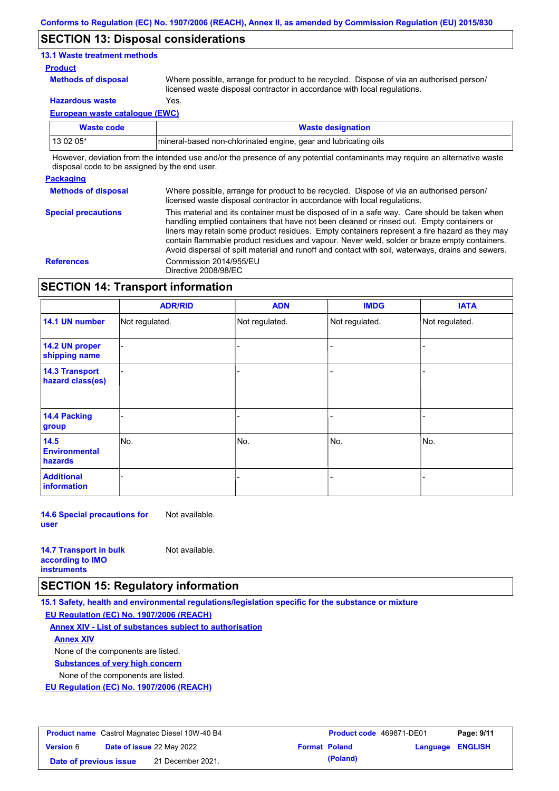### **SECTION 13: Disposal considerations**

### **13.1 Waste treatment methods**

#### **Product**

**Methods of disposal**

Where possible, arrange for product to be recycled. Dispose of via an authorised person/ licensed waste disposal contractor in accordance with local regulations.

**Hazardous waste** Yes.

**European waste catalogue (EWC)**

| Waste code  | <b>Waste designation</b>                                        |
|-------------|-----------------------------------------------------------------|
| l 13 02 05* | mineral-based non-chlorinated engine, gear and lubricating oils |

However, deviation from the intended use and/or the presence of any potential contaminants may require an alternative waste disposal code to be assigned by the end user.

### **Packaging**

**Special precautions**

**Methods of disposal** Where possible, arrange for product to be recycled. Dispose of via an authorised person/ licensed waste disposal contractor in accordance with local regulations.

This material and its container must be disposed of in a safe way. Care should be taken when handling emptied containers that have not been cleaned or rinsed out. Empty containers or liners may retain some product residues. Empty containers represent a fire hazard as they may contain flammable product residues and vapour. Never weld, solder or braze empty containers. Avoid dispersal of spilt material and runoff and contact with soil, waterways, drains and sewers. **References** Commission 2014/955/EU Directive 2008/98/EC

# **SECTION 14: Transport information**

|                                           | <b>ADR/RID</b> | <b>ADN</b>     | <b>IMDG</b>    | <b>IATA</b>    |  |
|-------------------------------------------|----------------|----------------|----------------|----------------|--|
| 14.1 UN number                            | Not regulated. | Not regulated. | Not regulated. | Not regulated. |  |
| 14.2 UN proper<br>shipping name           |                |                | $\blacksquare$ |                |  |
| <b>14.3 Transport</b><br>hazard class(es) |                |                | $\blacksquare$ |                |  |
| <b>14.4 Packing</b><br>group              |                |                | -              |                |  |
| 14.5<br><b>Environmental</b><br>hazards   | No.            | No.            | No.            | No.            |  |
| <b>Additional</b><br><b>information</b>   |                |                |                |                |  |

**14.6 Special precautions for user** Not available.

| <b>14.7 Transport in bulk</b> | Not available. |
|-------------------------------|----------------|
| according to <b>IMO</b>       |                |
| <b>instruments</b>            |                |

### **SECTION 15: Regulatory information**

**15.1 Safety, health and environmental regulations/legislation specific for the substance or mixture EU Regulation (EC) No. 1907/2006 (REACH)**

**Annex XIV - List of substances subject to authorisation**

**Annex XIV**

None of the components are listed.

**Substances of very high concern**

None of the components are listed.

**EU Regulation (EC) No. 1907/2006 (REACH)**

| <b>Product name</b> Castrol Magnatec Diesel 10W-40 B4 |                                  |                   | <b>Product code</b> 469871-DE01 | Page: 9/11           |                  |  |
|-------------------------------------------------------|----------------------------------|-------------------|---------------------------------|----------------------|------------------|--|
| <b>Version</b> 6                                      | <b>Date of issue 22 May 2022</b> |                   |                                 | <b>Format Poland</b> | Language ENGLISH |  |
| Date of previous issue                                |                                  | 21 December 2021. |                                 | (Poland)             |                  |  |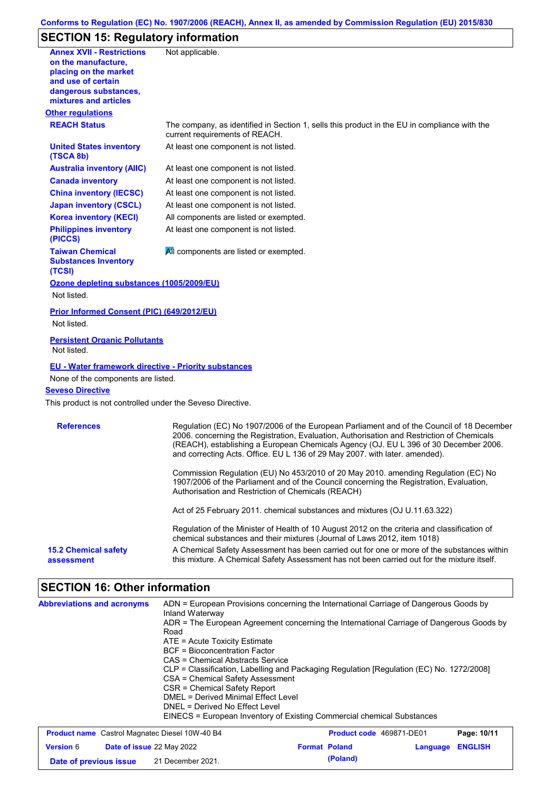# **SECTION 15: Regulatory information**

| <b>Annex XVII - Restrictions</b><br>on the manufacture,          | Not applicable.                                                                                                                                                                                                                                                                                                                                               |
|------------------------------------------------------------------|---------------------------------------------------------------------------------------------------------------------------------------------------------------------------------------------------------------------------------------------------------------------------------------------------------------------------------------------------------------|
| placing on the market<br>and use of certain                      |                                                                                                                                                                                                                                                                                                                                                               |
| dangerous substances,<br>mixtures and articles                   |                                                                                                                                                                                                                                                                                                                                                               |
| <b>Other regulations</b>                                         |                                                                                                                                                                                                                                                                                                                                                               |
| <b>REACH Status</b>                                              | The company, as identified in Section 1, sells this product in the EU in compliance with the<br>current requirements of REACH.                                                                                                                                                                                                                                |
| <b>United States inventory</b><br>(TSCA 8b)                      | At least one component is not listed.                                                                                                                                                                                                                                                                                                                         |
| <b>Australia inventory (AIIC)</b>                                | At least one component is not listed.                                                                                                                                                                                                                                                                                                                         |
| <b>Canada inventory</b>                                          | At least one component is not listed.                                                                                                                                                                                                                                                                                                                         |
| <b>China inventory (IECSC)</b>                                   | At least one component is not listed.                                                                                                                                                                                                                                                                                                                         |
| <b>Japan inventory (CSCL)</b>                                    | At least one component is not listed.                                                                                                                                                                                                                                                                                                                         |
| <b>Korea inventory (KECI)</b>                                    | All components are listed or exempted.                                                                                                                                                                                                                                                                                                                        |
| <b>Philippines inventory</b><br>(PICCS)                          | At least one component is not listed.                                                                                                                                                                                                                                                                                                                         |
| <b>Taiwan Chemical</b><br><b>Substances Inventory</b><br>(TCSI)  | All components are listed or exempted.                                                                                                                                                                                                                                                                                                                        |
| Ozone depleting substances (1005/2009/EU)                        |                                                                                                                                                                                                                                                                                                                                                               |
| Not listed.                                                      |                                                                                                                                                                                                                                                                                                                                                               |
| <b>Prior Informed Consent (PIC) (649/2012/EU)</b><br>Not listed. |                                                                                                                                                                                                                                                                                                                                                               |
| <b>Persistent Organic Pollutants</b><br>Not listed.              |                                                                                                                                                                                                                                                                                                                                                               |
| <b>EU - Water framework directive - Priority substances</b>      |                                                                                                                                                                                                                                                                                                                                                               |
| None of the components are listed.                               |                                                                                                                                                                                                                                                                                                                                                               |
| <b>Seveso Directive</b>                                          |                                                                                                                                                                                                                                                                                                                                                               |
| This product is not controlled under the Seveso Directive.       |                                                                                                                                                                                                                                                                                                                                                               |
| <b>References</b>                                                | Regulation (EC) No 1907/2006 of the European Parliament and of the Council of 18 December<br>2006. concerning the Registration, Evaluation, Authorisation and Restriction of Chemicals<br>(REACH), establishing a European Chemicals Agency (OJ. EU L 396 of 30 December 2006.<br>and correcting Acts. Office. EU L 136 of 29 May 2007. with later. amended). |
|                                                                  | Commission Regulation (EU) No 453/2010 of 20 May 2010. amending Regulation (EC) No<br>1907/2006 of the Parliament and of the Council concerning the Registration, Evaluation,<br>Authorisation and Restriction of Chemicals (REACH)                                                                                                                           |
|                                                                  | Act of 25 February 2011. chemical substances and mixtures (OJ U.11.63.322)                                                                                                                                                                                                                                                                                    |
|                                                                  | Regulation of the Minister of Health of 10 August 2012 on the criteria and classification of                                                                                                                                                                                                                                                                  |
|                                                                  | chemical substances and their mixtures (Journal of Laws 2012, item 1018)                                                                                                                                                                                                                                                                                      |

# **SECTION 16: Other information**

| <b>Abbreviations and acronyms</b>                     | Inland Waterway                                                                                  | ADN = European Provisions concerning the International Carriage of Dangerous Goods by |             |  |  |
|-------------------------------------------------------|--------------------------------------------------------------------------------------------------|---------------------------------------------------------------------------------------|-------------|--|--|
|                                                       | ADR = The European Agreement concerning the International Carriage of Dangerous Goods by<br>Road |                                                                                       |             |  |  |
|                                                       | $ATE =$ Acute Toxicity Estimate                                                                  |                                                                                       |             |  |  |
|                                                       | BCF = Bioconcentration Factor                                                                    |                                                                                       |             |  |  |
|                                                       | CAS = Chemical Abstracts Service                                                                 |                                                                                       |             |  |  |
|                                                       | CLP = Classification, Labelling and Packaging Regulation [Regulation (EC) No. 1272/2008]         |                                                                                       |             |  |  |
|                                                       | CSA = Chemical Safety Assessment                                                                 |                                                                                       |             |  |  |
|                                                       | CSR = Chemical Safety Report                                                                     |                                                                                       |             |  |  |
|                                                       | DMFL = Derived Minimal Fffect Level<br>DNEL = Derived No Effect Level                            |                                                                                       |             |  |  |
|                                                       |                                                                                                  |                                                                                       |             |  |  |
|                                                       |                                                                                                  | EINECS = European Inventory of Existing Commercial chemical Substances                |             |  |  |
| <b>Product name</b> Castrol Magnatec Diesel 10W-40 B4 |                                                                                                  | <b>Product code</b> 469871-DE01                                                       | Page: 10/11 |  |  |

| <b>Product name</b> Castrol Magnatec Diesel 10W-40 B4 |  |                      | <b>Product code</b> 469871-DE01 | Page: 10/11 |  |  |
|-------------------------------------------------------|--|----------------------|---------------------------------|-------------|--|--|
| <b>Date of issue 22 May 2022</b><br><b>Version 6</b>  |  | <b>Format Poland</b> | <b>Language ENGLISH</b>         |             |  |  |
| Date of previous issue                                |  | 21 December 2021.    |                                 | (Poland)    |  |  |